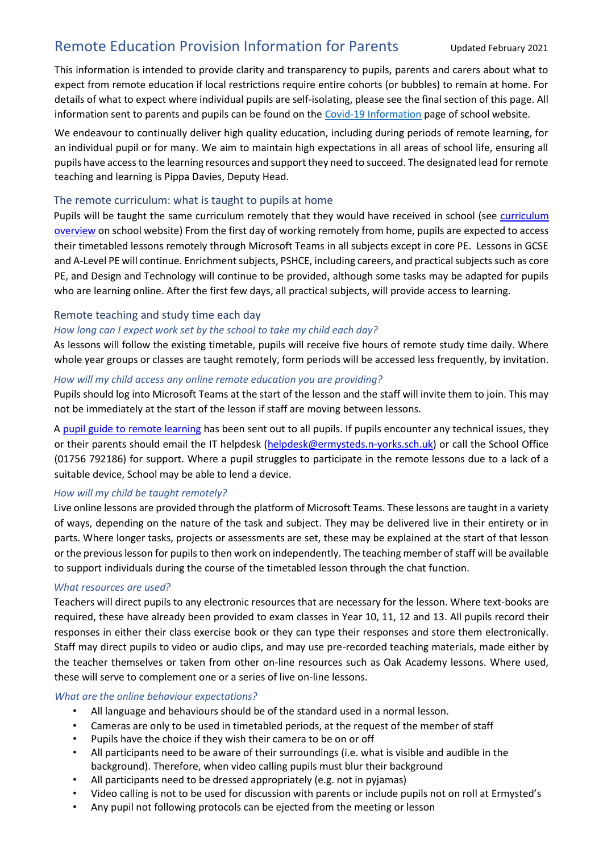# Remote Education Provision Information for Parents Updated February 2021

This information is intended to provide clarity and transparency to pupils, parents and carers about what to expect from remote education if local restrictions require entire cohorts (or bubbles) to remain at home. For details of what to expect where individual pupils are self-isolating, please see the final section of this page. All information sent to parents and pupils can be found on the [Covid-19 Information](https://www.ermysteds.co.uk/covid19/) page of school website.

We endeavour to continually deliver high quality education, including during periods of remote learning, for an individual pupil or for many. We aim to maintain high expectations in all areas of school life, ensuring all pupils have access to the learning resources and support they need to succeed. The designated lead for remote teaching and learning is Pippa Davies, Deputy Head.

# The remote curriculum: what is taught to pupils at home

Pupils will b[e](https://www.ermysteds.co.uk/curriculum/) taught the same [curriculum](https://www.ermysteds.co.uk/curriculum/) remotely that they would have received in school (see curriculum [overview](https://www.ermysteds.co.uk/curriculum/) [on](https://www.ermysteds.co.uk/curriculum/) school website) From the first day of working remotely from home, pupils are expected to access their timetabled lessons remotely through Microsoft Teams in all subjects except in core PE. Lessons in GCSE and A-Level PE will continue. Enrichment subjects, PSHCE, including careers, and practical subjects such as core PE, and Design and Technology will continue to be provided, although some tasks may be adapted for pupils who are learning online. After the first few days, all practical subjects, will provide access to learning.

## Remote teaching and study time each day

## *How long can I expect work set by the school to take my child each day?*

As lessons will follow the existing timetable, pupils will receive five hours of remote study time daily. Where whole year groups or classes are taught remotely, form periods will be accessed less frequently, by invitation.

## *How will my child access any online remote education you are providing?*

Pupils should log into Microsoft Teams at the start of the lesson and the staff will invite them to join. This may not be immediately at the start of the lesson if staff are moving between lessons.

A [pupil guide to remote learning](https://www.ermysteds.co.uk/wp-content/uploads/2021/01/Pupil-guide-to-remote-learning.pdf) [h](https://www.ermysteds.co.uk/wp-content/uploads/2021/01/Pupil-guide-to-remote-learning.pdf)as been sent out to all pupils. If pupils encounter any technical issues, they or their parents should email the IT helpdesk [\(helpdesk@ermysteds.n-yorks.sch.uk\)](file://///egs.loc/users/home_staff/KTamsons/Downloads/helpdesk@ermysteds.n-yorks.sch.uk) or call the School Office (01756 792186) for support. Where a pupil struggles to participate in the remote lessons due to a lack of a suitable device, School may be able to lend a device.

## *How will my child be taught remotely?*

Live online lessons are provided through the platform of Microsoft Teams. These lessons are taught in a variety of ways, depending on the nature of the task and subject. They may be delivered live in their entirety or in parts. Where longer tasks, projects or assessments are set, these may be explained at the start of that lesson or the previous lesson for pupils to then work on independently. The teaching member of staff will be available to support individuals during the course of the timetabled lesson through the chat function.

## *What resources are used?*

Teachers will direct pupils to any electronic resources that are necessary for the lesson. Where text-books are required, these have already been provided to exam classes in Year 10, 11, 12 and 13. All pupils record their responses in either their class exercise book or they can type their responses and store them electronically. Staff may direct pupils to video or audio clips, and may use pre-recorded teaching materials, made either by the teacher themselves or taken from other on-line resources such as Oak Academy lessons. Where used, these will serve to complement one or a series of live on-line lessons.

## *What are the online behaviour expectations?*

- All language and behaviours should be of the standard used in a normal lesson.
- Cameras are only to be used in timetabled periods, at the request of the member of staff
- Pupils have the choice if they wish their camera to be on or off
- All participants need to be aware of their surroundings (i.e. what is visible and audible in the background). Therefore, when video calling pupils must blur their background
- All participants need to be dressed appropriately (e.g. not in pyjamas)
- Video calling is not to be used for discussion with parents or include pupils not on roll at Ermysted's
- Any pupil not following protocols can be ejected from the meeting or lesson